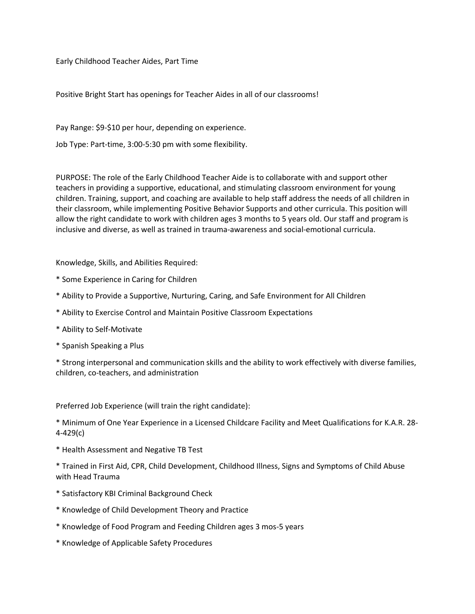Early Childhood Teacher Aides, Part Time

Positive Bright Start has openings for Teacher Aides in all of our classrooms!

Pay Range: \$9-\$10 per hour, depending on experience.

Job Type: Part-time, 3:00-5:30 pm with some flexibility.

PURPOSE: The role of the Early Childhood Teacher Aide is to collaborate with and support other teachers in providing a supportive, educational, and stimulating classroom environment for young children. Training, support, and coaching are available to help staff address the needs of all children in their classroom, while implementing Positive Behavior Supports and other curricula. This position will allow the right candidate to work with children ages 3 months to 5 years old. Our staff and program is inclusive and diverse, as well as trained in trauma-awareness and social-emotional curricula.

Knowledge, Skills, and Abilities Required:

- \* Some Experience in Caring for Children
- \* Ability to Provide a Supportive, Nurturing, Caring, and Safe Environment for All Children
- \* Ability to Exercise Control and Maintain Positive Classroom Expectations
- \* Ability to Self-Motivate
- \* Spanish Speaking a Plus

\* Strong interpersonal and communication skills and the ability to work effectively with diverse families, children, co-teachers, and administration

Preferred Job Experience (will train the right candidate):

\* Minimum of One Year Experience in a Licensed Childcare Facility and Meet Qualifications for K.A.R. 28- 4-429(c)

- \* Health Assessment and Negative TB Test
- \* Trained in First Aid, CPR, Child Development, Childhood Illness, Signs and Symptoms of Child Abuse with Head Trauma
- \* Satisfactory KBI Criminal Background Check
- \* Knowledge of Child Development Theory and Practice
- \* Knowledge of Food Program and Feeding Children ages 3 mos-5 years
- \* Knowledge of Applicable Safety Procedures